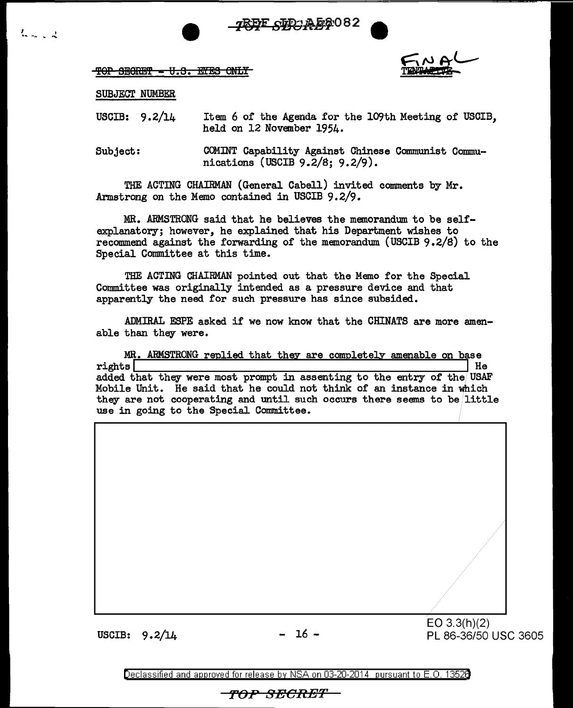7REF SPR A 88082



## SUBJECT NUMBER

*<sup>1</sup>*I ....... \_ ... """'

USCIB: 9.2/14 Item 6 of the Agenda for the 109th Meeting of USOIB, held on 12 November 1954.

Subject: OOMINT Capability Against Chinese Communist Communications (USCIB 9.2/8; 9.2/9).

THE ACTING CHAIRMAN (General Cabell) invited comments by Mr. Armstrong on the Memo contained in USCIB 9. 2/9.

MR. ARMSTRONG said that he believes the memorandum to be selfexplanatory; however, he explained that his Department wishes to recommend against the forwarding of the memorandum {USCIB 9 .2/8) to the Special Committee at this time.

THE ACTING CHAIRMAN pointed out that the Memo for the Special Committee was originally intended as a pressure device and that apparently the need for such pressure has since subsided.

ADMIRAL ESPE asked if we now know that the CHINATS are more amenable than they were.

MR. ARMSTRONG replied that they are completely amenable on base<br>rights rights **Hermann and Science and Science and Science and Science and Science and Science and Science and Science** added that they were most prompt in assenting to the entry of the USAF Mobile Unit. He said that he could not think of an instance in which they are not cooperating and until such occurs there seems to be little use in going to the Special Committee.

USCIB:  $9.2/14$  - 16 - EO 3.3(h)(2)<br>USCIB:  $9.2/14$  - 16 - PL 86-36/50 PL 86-36/50 USC 3605

Declassified and approved for release by NSA on 03-20-2014 pursuant to E. 0. 1352B

**ro:P** BECH-ET